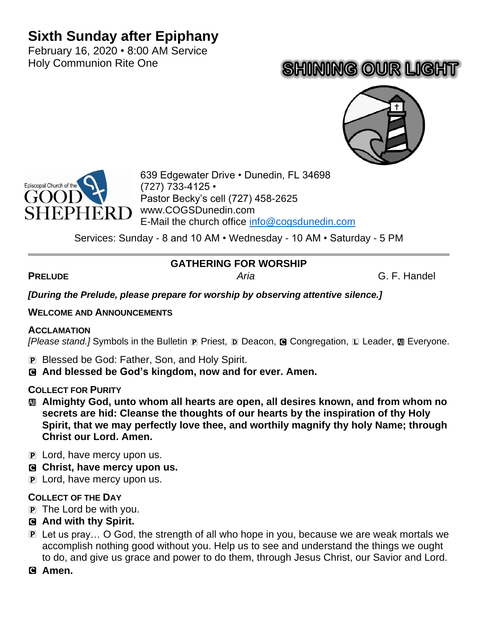## **Sixth Sunday after Epiphany**

February 16, 2020 • 8:00 AM Service Holy Communion Rite One

# **SHINING OUR LIGHT**





639 Edgewater Drive • Dunedin, FL 34698 (727) 733-4125 • Pastor Becky's cell (727) 458-2625 www.COGSDunedin.com E-Mail the church office [info@cogsdunedin.com](mailto:info@cogsdunedin.com)

Services: Sunday - 8 and 10 AM • Wednesday - 10 AM • Saturday - 5 PM

## **GATHERING FOR WORSHIP**

**PRELUDE** *Aria* G. F. Handel

*[During the Prelude, please prepare for worship by observing attentive silence.]*

#### **WELCOME AND ANNOUNCEMENTS**

#### **ACCLAMATION**

*[Please stand.]* Symbols in the Bulletin **P** Priest, **D** Deacon, **G** Congregation, **L** Leader, **M** Everyone.

- P Blessed be God: Father, Son, and Holy Spirit.
- C **And blessed be God's kingdom, now and for ever. Amen.**

#### **COLLECT FOR PURITY**

- a **Almighty God, unto whom all hearts are open, all desires known, and from whom no secrets are hid: Cleanse the thoughts of our hearts by the inspiration of thy Holy Spirit, that we may perfectly love thee, and worthily magnify thy holy Name; through Christ our Lord. Amen.**
- P Lord, have mercy upon us.
- C **Christ, have mercy upon us.**
- P Lord, have mercy upon us.

#### **COLLECT OF THE DAY**

- $\mathbf{P}$  The Lord be with you.
- C **And with thy Spirit.**
- P Let us pray… O God, the strength of all who hope in you, because we are weak mortals we accomplish nothing good without you. Help us to see and understand the things we ought to do, and give us grace and power to do them, through Jesus Christ, our Savior and Lord.

#### C **Amen.**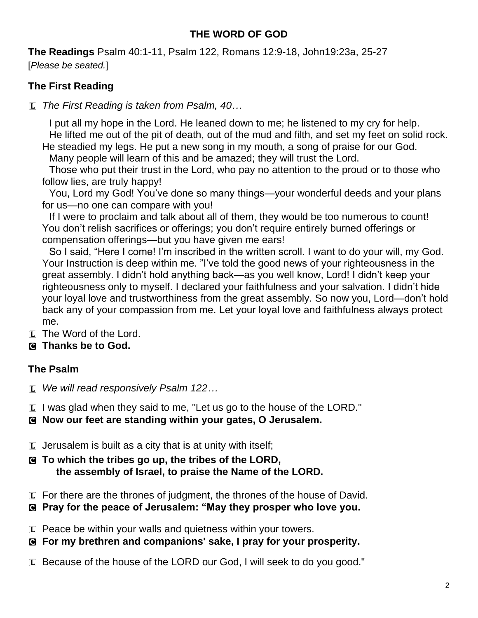## **THE WORD OF GOD**

**The Readings** Psalm 40:1-11, Psalm 122, Romans 12:9-18, John19:23a, 25-27 [*Please be seated.*]

## **The First Reading**

L *The First Reading is taken from Psalm, 40…*

I put all my hope in the Lord. He leaned down to me; he listened to my cry for help. He lifted me out of the pit of death, out of the mud and filth, and set my feet on solid rock. He steadied my legs. He put a new song in my mouth, a song of praise for our God.

Many people will learn of this and be amazed; they will trust the Lord.

Those who put their trust in the Lord, who pay no attention to the proud or to those who follow lies, are truly happy!

You, Lord my God! You've done so many things—your wonderful deeds and your plans for us—no one can compare with you!

If I were to proclaim and talk about all of them, they would be too numerous to count! You don't relish sacrifices or offerings; you don't require entirely burned offerings or compensation offerings—but you have given me ears!

So I said, "Here I come! I'm inscribed in the written scroll. I want to do your will, my God. Your Instruction is deep within me. "I've told the good news of your righteousness in the great assembly. I didn't hold anything back—as you well know, Lord! I didn't keep your righteousness only to myself. I declared your faithfulness and your salvation. I didn't hide your loyal love and trustworthiness from the great assembly. So now you, Lord—don't hold back any of your compassion from me. Let your loyal love and faithfulness always protect me.

 $\Box$  The Word of the Lord.

## C **Thanks be to God.**

## **The Psalm**

L *We will read responsively Psalm 122…*

L I was glad when they said to me, "Let us go to the house of the LORD."

C **Now our feet are standing within your gates, O Jerusalem.**

- $\square$  Jerusalem is built as a city that is at unity with itself;
- C **To which the tribes go up, the tribes of the LORD, the assembly of Israel, to praise the Name of the LORD.**
- $\Box$  For there are the thrones of judgment, the thrones of the house of David.
- C **Pray for the peace of Jerusalem: "May they prosper who love you.**
- L Peace be within your walls and quietness within your towers.
- C **For my brethren and companions' sake, I pray for your prosperity.**
- L Because of the house of the LORD our God, I will seek to do you good."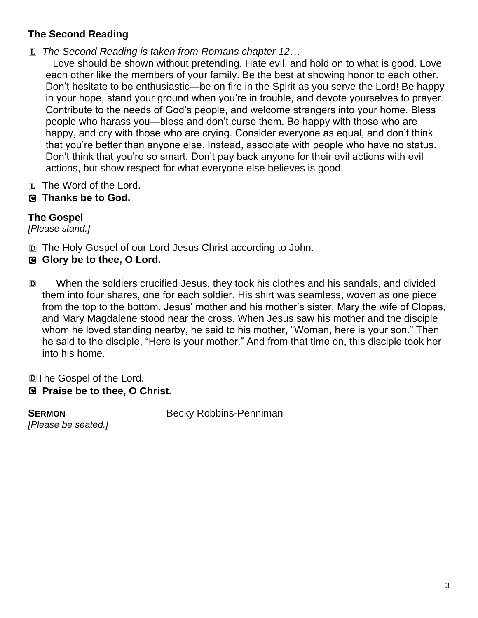## **The Second Reading**

L *The Second Reading is taken from Romans chapter 12…*

Love should be shown without pretending. Hate evil, and hold on to what is good. Love each other like the members of your family. Be the best at showing honor to each other. Don't hesitate to be enthusiastic—be on fire in the Spirit as you serve the Lord! Be happy in your hope, stand your ground when you're in trouble, and devote yourselves to prayer. Contribute to the needs of God's people, and welcome strangers into your home. Bless people who harass you—bless and don't curse them. Be happy with those who are happy, and cry with those who are crying. Consider everyone as equal, and don't think that you're better than anyone else. Instead, associate with people who have no status. Don't think that you're so smart. Don't pay back anyone for their evil actions with evil actions, but show respect for what everyone else believes is good.

- $[L]$  The Word of the Lord.
- C **Thanks be to God.**

## **The Gospel**

*[Please stand.]*

- D The Holy Gospel of our Lord Jesus Christ according to John.
- C **Glory be to thee, O Lord.**
- D When the soldiers crucified Jesus, they took his clothes and his sandals, and divided them into four shares, one for each soldier. His shirt was seamless, woven as one piece from the top to the bottom. Jesus' mother and his mother's sister, Mary the wife of Clopas, and Mary Magdalene stood near the cross. When Jesus saw his mother and the disciple whom he loved standing nearby, he said to his mother, "Woman, here is your son." Then he said to the disciple, "Here is your mother." And from that time on, this disciple took her into his home.

DThe Gospel of the Lord.

C **Praise be to thee, O Christ.**

*[Please be seated.]*

**SERMON** Becky Robbins-Penniman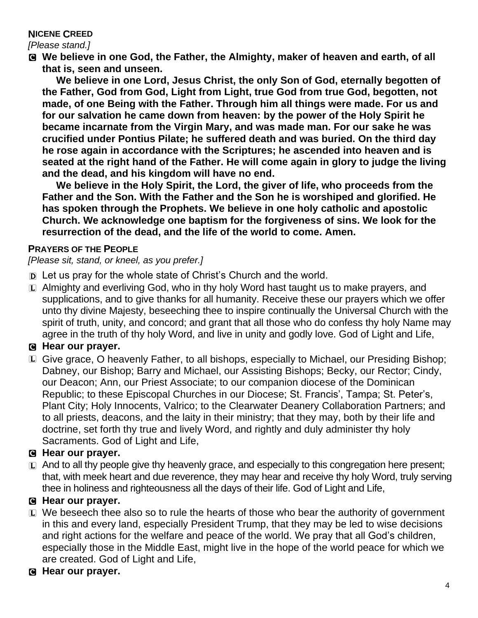#### **NICENE CREED**

*[Please stand.]*

C **We believe in one God, the Father, the Almighty, maker of heaven and earth, of all that is, seen and unseen.** 

**We believe in one Lord, Jesus Christ, the only Son of God, eternally begotten of the Father, God from God, Light from Light, true God from true God, begotten, not made, of one Being with the Father. Through him all things were made. For us and for our salvation he came down from heaven: by the power of the Holy Spirit he became incarnate from the Virgin Mary, and was made man. For our sake he was crucified under Pontius Pilate; he suffered death and was buried. On the third day he rose again in accordance with the Scriptures; he ascended into heaven and is seated at the right hand of the Father. He will come again in glory to judge the living and the dead, and his kingdom will have no end.**

**We believe in the Holy Spirit, the Lord, the giver of life, who proceeds from the Father and the Son. With the Father and the Son he is worshiped and glorified. He has spoken through the Prophets. We believe in one holy catholic and apostolic Church. We acknowledge one baptism for the forgiveness of sins. We look for the resurrection of the dead, and the life of the world to come. Amen.**

#### **PRAYERS OF THE PEOPLE**

*[Please sit, stand, or kneel, as you prefer.]*

- D Let us pray for the whole state of Christ's Church and the world.
- $\Box$  Almighty and everliving God, who in thy holy Word hast taught us to make prayers, and supplications, and to give thanks for all humanity. Receive these our prayers which we offer unto thy divine Majesty, beseeching thee to inspire continually the Universal Church with the spirit of truth, unity, and concord; and grant that all those who do confess thy holy Name may agree in the truth of thy holy Word, and live in unity and godly love. God of Light and Life,

## C **Hear our prayer.**

L Give grace, O heavenly Father, to all bishops, especially to Michael, our Presiding Bishop; Dabney, our Bishop; Barry and Michael, our Assisting Bishops; Becky, our Rector; Cindy, our Deacon; Ann, our Priest Associate; to our companion diocese of the Dominican Republic; to these Episcopal Churches in our Diocese; St. Francis', Tampa; St. Peter's, Plant City; Holy Innocents, Valrico; to the Clearwater Deanery Collaboration Partners; and to all priests, deacons, and the laity in their ministry; that they may, both by their life and doctrine, set forth thy true and lively Word, and rightly and duly administer thy holy Sacraments. God of Light and Life,

## C **Hear our prayer.**

 $\Box$  And to all thy people give thy heavenly grace, and especially to this congregation here present; that, with meek heart and due reverence, they may hear and receive thy holy Word, truly serving thee in holiness and righteousness all the days of their life. God of Light and Life,

#### C **Hear our prayer.**

- $E$  We beseech thee also so to rule the hearts of those who bear the authority of government in this and every land, especially President Trump, that they may be led to wise decisions and right actions for the welfare and peace of the world. We pray that all God's children, especially those in the Middle East, might live in the hope of the world peace for which we are created. God of Light and Life,
- C **Hear our prayer.**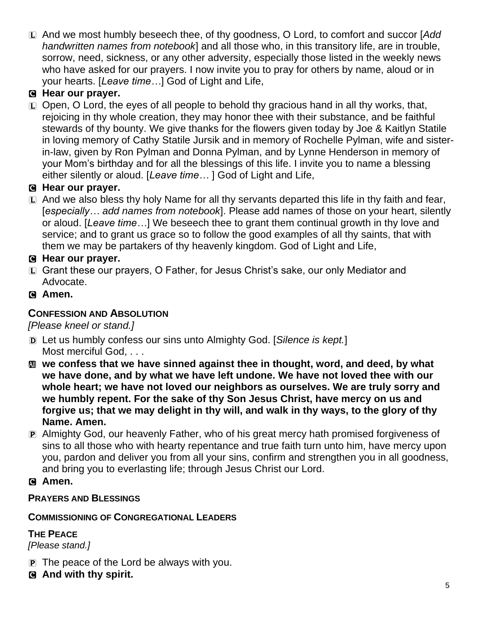L And we most humbly beseech thee, of thy goodness, O Lord, to comfort and succor [*Add handwritten names from notebook*] and all those who, in this transitory life, are in trouble, sorrow, need, sickness, or any other adversity, especially those listed in the weekly news who have asked for our prayers. I now invite you to pray for others by name, aloud or in your hearts. [*Leave time…*] God of Light and Life,

## C **Hear our prayer.**

 $\Box$  Open, O Lord, the eyes of all people to behold thy gracious hand in all thy works, that, rejoicing in thy whole creation, they may honor thee with their substance, and be faithful stewards of thy bounty. We give thanks for the flowers given today by Joe & Kaitlyn Statile in loving memory of Cathy Statile Jursik and in memory of Rochelle Pylman, wife and sisterin-law, given by Ron Pylman and Donna Pylman, and by Lynne Henderson in memory of your Mom's birthday and for all the blessings of this life. I invite you to name a blessing either silently or aloud. [*Leave time…* ] God of Light and Life,

## C **Hear our prayer.**

L And we also bless thy holy Name for all thy servants departed this life in thy faith and fear, [*especially… add names from notebook*]. Please add names of those on your heart, silently or aloud. [*Leave time…*] We beseech thee to grant them continual growth in thy love and service; and to grant us grace so to follow the good examples of all thy saints, that with them we may be partakers of thy heavenly kingdom. God of Light and Life,

## C **Hear our prayer.**

- L Grant these our prayers, O Father, for Jesus Christ's sake, our only Mediator and Advocate.
- C **Amen.**

## **CONFESSION AND ABSOLUTION**

*[Please kneel or stand.]*

- D Let us humbly confess our sins unto Almighty God. [*Silence is kept.*] Most merciful God, . . .
- $\mathbf{M}$  **we confess that we have sinned against thee in thought, word, and deed, by what we have done, and by what we have left undone. We have not loved thee with our whole heart; we have not loved our neighbors as ourselves. We are truly sorry and we humbly repent. For the sake of thy Son Jesus Christ, have mercy on us and forgive us; that we may delight in thy will, and walk in thy ways, to the glory of thy Name. Amen.**
- P Almighty God, our heavenly Father, who of his great mercy hath promised forgiveness of sins to all those who with hearty repentance and true faith turn unto him, have mercy upon you, pardon and deliver you from all your sins, confirm and strengthen you in all goodness, and bring you to everlasting life; through Jesus Christ our Lord.
- C **Amen.**

## **PRAYERS AND BLESSINGS**

## **COMMISSIONING OF CONGREGATIONAL LEADERS**

## **THE PEACE**

*[Please stand.]*

- $\mathbf{P}$  The peace of the Lord be always with you.
- C **And with thy spirit.**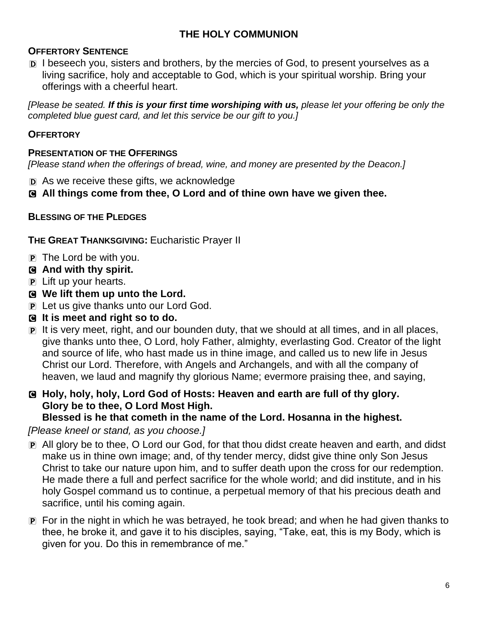## **THE HOLY COMMUNION**

#### **OFFERTORY SENTENCE**

D I beseech you, sisters and brothers, by the mercies of God, to present yourselves as a living sacrifice, holy and acceptable to God, which is your spiritual worship. Bring your offerings with a cheerful heart.

*[Please be seated. If this is your first time worshiping with us, please let your offering be only the completed blue guest card, and let this service be our gift to you.]*

#### **OFFERTORY**

#### **PRESENTATION OF THE OFFERINGS**

*[Please stand when the offerings of bread, wine, and money are presented by the Deacon.]*

- D As we receive these gifts, we acknowledge
- C **All things come from thee, O Lord and of thine own have we given thee.**

#### **BLESSING OF THE PLEDGES**

**THE GREAT THANKSGIVING:** Eucharistic Prayer II

- $\overline{p}$  The Lord be with you.
- C **And with thy spirit.**
- P Lift up your hearts.
- C **We lift them up unto the Lord.**
- P Let us give thanks unto our Lord God.
- C **It is meet and right so to do.**
- P It is very meet, right, and our bounden duty, that we should at all times, and in all places, give thanks unto thee, O Lord, holy Father, almighty, everlasting God. Creator of the light and source of life, who hast made us in thine image, and called us to new life in Jesus Christ our Lord. Therefore, with Angels and Archangels, and with all the company of heaven, we laud and magnify thy glorious Name; evermore praising thee, and saying,

## C **Holy, holy, holy, Lord God of Hosts: Heaven and earth are full of thy glory. Glory be to thee, O Lord Most High.**

#### **Blessed is he that cometh in the name of the Lord. Hosanna in the highest.**

#### *[Please kneel or stand, as you choose.]*

- P All glory be to thee, O Lord our God, for that thou didst create heaven and earth, and didst make us in thine own image; and, of thy tender mercy, didst give thine only Son Jesus Christ to take our nature upon him, and to suffer death upon the cross for our redemption. He made there a full and perfect sacrifice for the whole world; and did institute, and in his holy Gospel command us to continue, a perpetual memory of that his precious death and sacrifice, until his coming again.
- P For in the night in which he was betrayed, he took bread; and when he had given thanks to thee, he broke it, and gave it to his disciples, saying, "Take, eat, this is my Body, which is given for you. Do this in remembrance of me."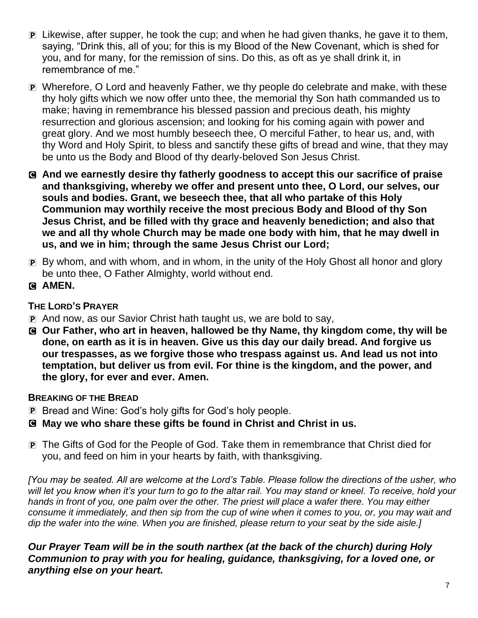- P Likewise, after supper, he took the cup; and when he had given thanks, he gave it to them, saying, "Drink this, all of you; for this is my Blood of the New Covenant, which is shed for you, and for many, for the remission of sins. Do this, as oft as ye shall drink it, in remembrance of me."
- P Wherefore, O Lord and heavenly Father, we thy people do celebrate and make, with these thy holy gifts which we now offer unto thee, the memorial thy Son hath commanded us to make; having in remembrance his blessed passion and precious death, his mighty resurrection and glorious ascension; and looking for his coming again with power and great glory. And we most humbly beseech thee, O merciful Father, to hear us, and, with thy Word and Holy Spirit, to bless and sanctify these gifts of bread and wine, that they may be unto us the Body and Blood of thy dearly-beloved Son Jesus Christ.
- C **And we earnestly desire thy fatherly goodness to accept this our sacrifice of praise and thanksgiving, whereby we offer and present unto thee, O Lord, our selves, our souls and bodies. Grant, we beseech thee, that all who partake of this Holy Communion may worthily receive the most precious Body and Blood of thy Son Jesus Christ, and be filled with thy grace and heavenly benediction; and also that we and all thy whole Church may be made one body with him, that he may dwell in us, and we in him; through the same Jesus Christ our Lord;**
- P By whom, and with whom, and in whom, in the unity of the Holy Ghost all honor and glory be unto thee, O Father Almighty, world without end.
- C **AMEN.**

#### **THE LORD'S PRAYER**

- P And now, as our Savior Christ hath taught us, we are bold to say,
- C **Our Father, who art in heaven, hallowed be thy Name, thy kingdom come, thy will be done, on earth as it is in heaven. Give us this day our daily bread. And forgive us our trespasses, as we forgive those who trespass against us. And lead us not into temptation, but deliver us from evil. For thine is the kingdom, and the power, and the glory, for ever and ever. Amen.**

#### **BREAKING OF THE BREAD**

- P Bread and Wine: God's holy gifts for God's holy people.
- C **May we who share these gifts be found in Christ and Christ in us.**
- P The Gifts of God for the People of God. Take them in remembrance that Christ died for you, and feed on him in your hearts by faith, with thanksgiving.

*[You may be seated. All are welcome at the Lord's Table. Please follow the directions of the usher, who will let you know when it's your turn to go to the altar rail. You may stand or kneel. To receive, hold your hands in front of you, one palm over the other. The priest will place a wafer there. You may either consume it immediately, and then sip from the cup of wine when it comes to you, or, you may wait and dip the wafer into the wine. When you are finished, please return to your seat by the side aisle.]*

*Our Prayer Team will be in the south narthex (at the back of the church) during Holy Communion to pray with you for healing, guidance, thanksgiving, for a loved one, or anything else on your heart.*